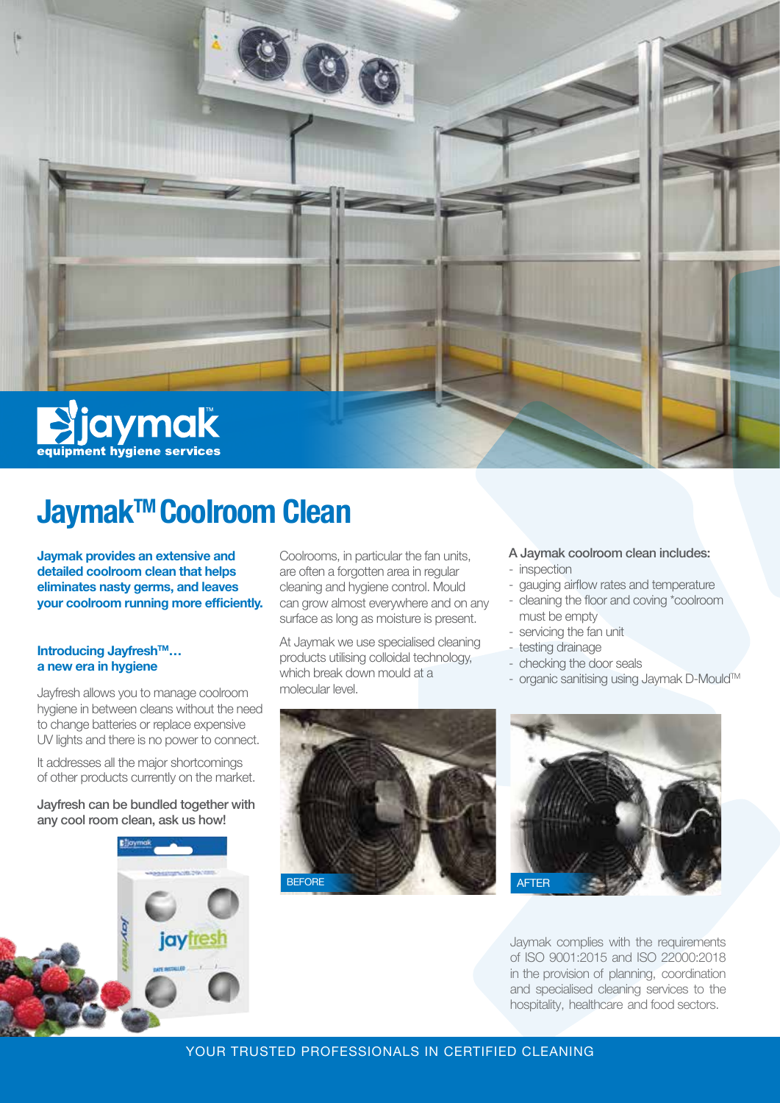

# **Jaymak™ Coolroom Clean**

**Jaymak provides an extensive and detailed coolroom clean that helps eliminates nasty germs, and leaves your coolroom running more efficiently.**

#### **Introducing Jayfresh™... a new era in hygiene**

Jayfresh allows you to manage coolroom hygiene in between cleans without the need to change batteries or replace expensive UV lights and there is no power to connect.

It addresses all the major shortcomings of other products currently on the market.

Jayfresh can be bundled together with any cool room clean, ask us how!



Coolrooms, in particular the fan units, are often a forgotten area in regular cleaning and hygiene control. Mould can grow almost everywhere and on any surface as long as moisture is present.

At Jaymak we use specialised cleaning products utilising colloidal technology, which break down mould at a molecular level.



- gauging airflow rates and temperature
- cleaning the floor and coving \*coolroom must be empty
- servicing the fan unit
- testing drainage
- checking the door seals
- organic sanitising using Jaymak D-Mould™





Jaymak complies with the requirements of ISO 9001:2015 and ISO 22000:2018 in the provision of planning, coordination and specialised cleaning services to the hospitality, healthcare and food sectors.

## YOUR TRUSTED PROFESSIONALS IN CERTIFIED CLEANING